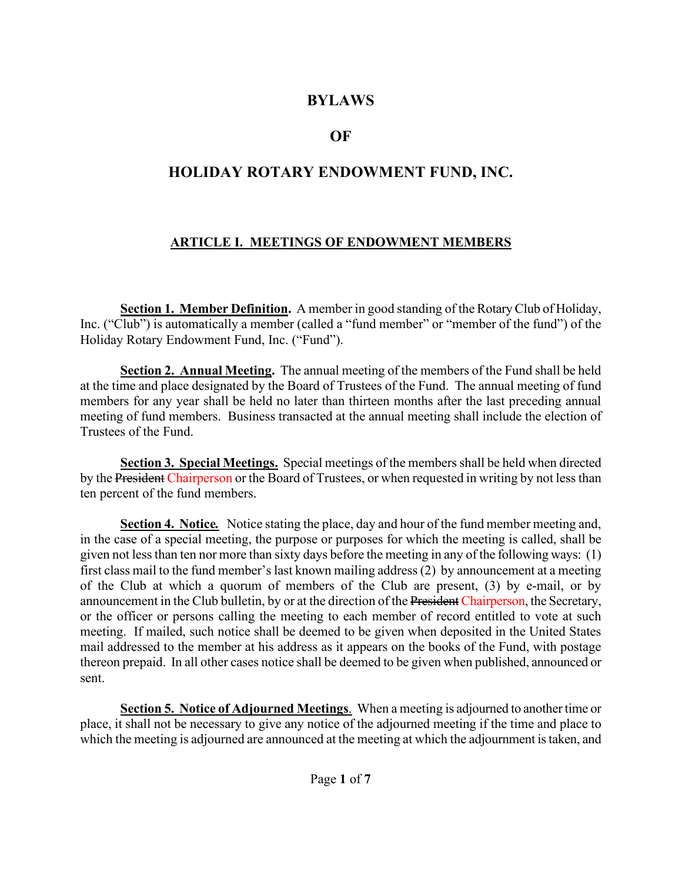#### **BYLAWS**

## **OF**

# **HOLIDAY ROTARY ENDOWMENT FUND, INC.**

#### **ARTICLE I. MEETINGS OF ENDOWMENT MEMBERS**

**Section 1. Member Definition.** A member in good standing of the Rotary Club of Holiday, Inc. ("Club") is automatically a member (called a "fund member" or "member of the fund") of the Holiday Rotary Endowment Fund, Inc. ("Fund").

**Section 2. Annual Meeting.** The annual meeting of the members of the Fund shall be held at the time and place designated by the Board of Trustees of the Fund. The annual meeting of fund members for any year shall be held no later than thirteen months after the last preceding annual meeting of fund members. Business transacted at the annual meeting shall include the election of Trustees of the Fund.

**Section 3.****Special Meetings.** Special meetings of the members shall be held when directed by the President Chairperson or the Board of Trustees, or when requested in writing by not less than ten percent of the fund members.

**Section 4.****Notice***.* Notice stating the place, day and hour of the fund member meeting and, in the case of a special meeting, the purpose or purposes for which the meeting is called, shall be given not less than ten nor more than sixty days before the meeting in any of the following ways: (1) first class mail to the fund member's last known mailing address(2) by announcement at a meeting of the Club at which a quorum of members of the Club are present, (3) by e-mail, or by announcement in the Club bulletin, by or at the direction of the President Chairperson, the Secretary, or the officer or persons calling the meeting to each member of record entitled to vote at such meeting. If mailed, such notice shall be deemed to be given when deposited in the United States mail addressed to the member at his address as it appears on the books of the Fund, with postage thereon prepaid. In all other cases notice shall be deemed to be given when published, announced or sent.

**Section 5. Notice of Adjourned Meetings**. When a meeting is adjourned to another time or place, it shall not be necessary to give any notice of the adjourned meeting if the time and place to which the meeting is adjourned are announced at the meeting at which the adjournment is taken, and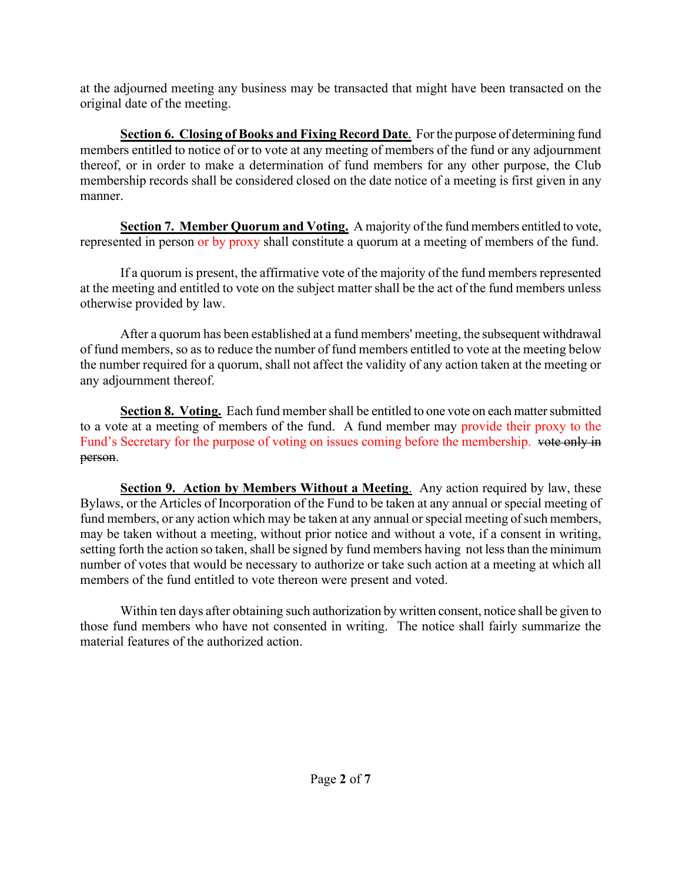at the adjourned meeting any business may be transacted that might have been transacted on the original date of the meeting.

**Section 6. Closing of Books and Fixing Record Date.** For the purpose of determining fund members entitled to notice of or to vote at any meeting of members of the fund or any adjournment thereof, or in order to make a determination of fund members for any other purpose, the Club membership records shall be considered closed on the date notice of a meeting is first given in any manner.

**Section 7.****Member Quorum and Voting.** A majority of the fund members entitled to vote, represented in person or by proxy shall constitute a quorum at a meeting of members of the fund.

If a quorum is present, the affirmative vote of the majority of the fund members represented at the meeting and entitled to vote on the subject matter shall be the act of the fund members unless otherwise provided by law.

After a quorum has been established at a fund members' meeting, the subsequent withdrawal of fund members, so as to reduce the number of fund members entitled to vote at the meeting below the number required for a quorum, shall not affect the validity of any action taken at the meeting or any adjournment thereof.

**Section 8. Voting.** Each fund member shall be entitled to one vote on each matter submitted to a vote at a meeting of members of the fund. A fund member may provide their proxy to the Fund's Secretary for the purpose of voting on issues coming before the membership. vote only in person.

**Section 9. Action by Members Without a Meeting**. Any action required by law, these Bylaws, or the Articles of Incorporation of the Fund to be taken at any annual or special meeting of fund members, or any action which may be taken at any annual or special meeting of such members, may be taken without a meeting, without prior notice and without a vote, if a consent in writing, setting forth the action so taken, shall be signed by fund members having not less than the minimum number of votes that would be necessary to authorize or take such action at a meeting at which all members of the fund entitled to vote thereon were present and voted.

Within ten days after obtaining such authorization by written consent, notice shall be given to those fund members who have not consented in writing. The notice shall fairly summarize the material features of the authorized action.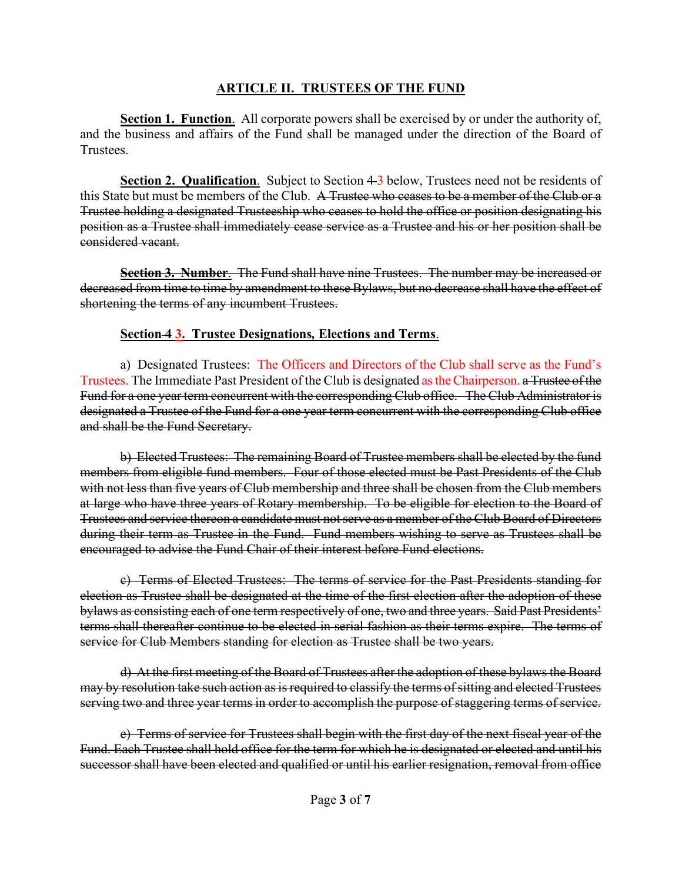#### **ARTICLE II. TRUSTEES OF THE FUND**

**Section 1. Function**. All corporate powers shall be exercised by or under the authority of, and the business and affairs of the Fund shall be managed under the direction of the Board of Trustees.

**Section 2. Qualification.** Subject to Section 4-3 below, Trustees need not be residents of this State but must be members of the Club. A Trustee who ceases to be a member of the Club or a Trustee holding a designated Trusteeship who ceases to hold the office or position designating his position as a Trustee shall immediately cease service as a Trustee and his or her position shall be considered vacant.

**Section 3. Number**. The Fund shall have nine Trustees. The number may be increased or decreased from time to time by amendment to these Bylaws, but no decrease shall have the effect of shortening the terms of any incumbent Trustees.

#### **Section 4 3.****Trustee Designations***,* **Elections and Terms**.

a) Designated Trustees: The Officers and Directors of the Club shall serve as the Fund's Trustees. The Immediate Past President of the Club is designated as the Chairperson. a Trustee of the Fund for a one year term concurrent with the corresponding Club office. The Club Administrator is designated a Trustee of the Fund for a one year term concurrent with the corresponding Club office and shall be the Fund Secretary.

b) Elected Trustees: The remaining Board of Trustee members shall be elected by the fund members from eligible fund members. Four of those elected must be Past Presidents of the Club with not less than five years of Club membership and three shall be chosen from the Club members at large who have three years of Rotary membership. To be eligible for election to the Board of Trustees and service thereon a candidate must not serve as a member of the Club Board of Directors during their term as Trustee in the Fund. Fund members wishing to serve as Trustees shall be encouraged to advise the Fund Chair of their interest before Fund elections.

c) Terms of Elected Trustees: The terms of service for the Past Presidents standing for election as Trustee shall be designated at the time of the first election after the adoption of these bylaws as consisting each of one term respectively of one, two and three years. Said Past Presidents' terms shall thereafter continue to be elected in serial fashion as their terms expire. The terms of service for Club Members standing for election as Trustee shall be two years.

d) At the first meeting of the Board of Trustees after the adoption of these bylaws the Board may by resolution take such action as is required to classify the terms of sitting and elected Trustees serving two and three year terms in order to accomplish the purpose of staggering terms of service.

e) Terms of service for Trustees shall begin with the first day of the next fiscal year of the Fund. Each Trustee shall hold office for the term for which he is designated or elected and until his successor shall have been elected and qualified or until his earlier resignation, removal from office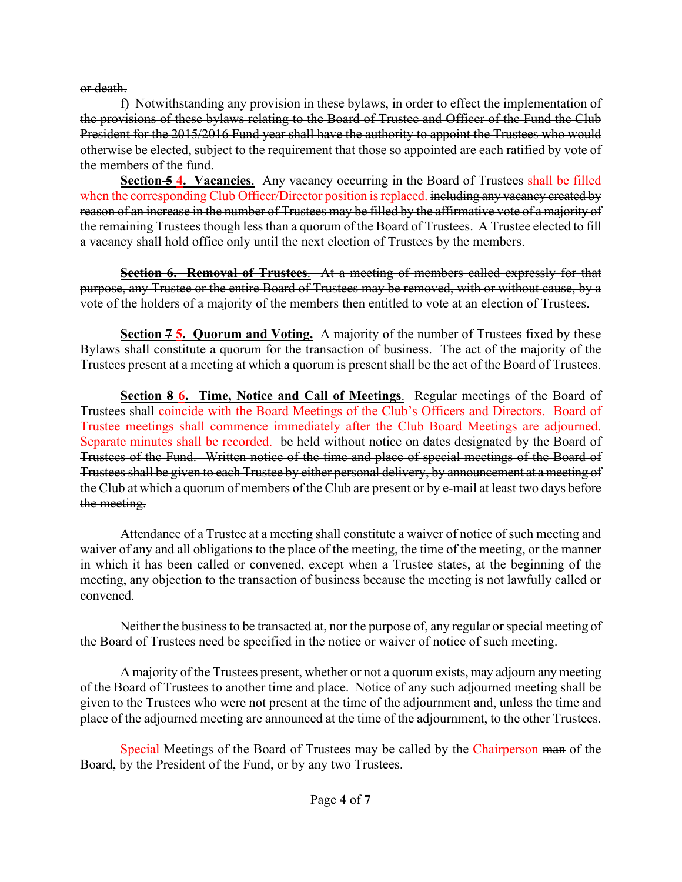or death.

f) Notwithstanding any provision in these bylaws, in order to effect the implementation of the provisions of these bylaws relating to the Board of Trustee and Officer of the Fund the Club President for the 2015/2016 Fund year shall have the authority to appoint the Trustees who would otherwise be elected, subject to the requirement that those so appointed are each ratified by vote of the members of the fund.

**Section <del>5</del> 4. Vacancies**. Any vacancy occurring in the Board of Trustees shall be filled when the corresponding Club Officer/Director position is replaced. including any vacancy created by reason of an increase in the number of Trustees may be filled by the affirmative vote of a majority of the remaining Trustees though less than a quorum of the Board of Trustees. A Trustee elected to fill a vacancy shall hold office only until the next election of Trustees by the members.

**Section 6. Removal of Trustees**. At a meeting of members called expressly for that purpose, any Trustee or the entire Board of Trustees may be removed, with or without cause, by a vote of the holders of a majority of the members then entitled to vote at an election of Trustees.

**Section 7 5. Quorum and Voting.** A majority of the number of Trustees fixed by these Bylaws shall constitute a quorum for the transaction of business. The act of the majority of the Trustees present at a meeting at which a quorum is present shall be the act of the Board of Trustees.

**Section 8 6. Time, Notice and Call of Meetings**. Regular meetings of the Board of Trustees shall coincide with the Board Meetings of the Club's Officers and Directors. Board of Trustee meetings shall commence immediately after the Club Board Meetings are adjourned. Separate minutes shall be recorded. be held without notice on dates designated by the Board of Trustees of the Fund. Written notice of the time and place of special meetings of the Board of Trustees shall be given to each Trustee by either personal delivery, by announcement at a meeting of the Club at which a quorum of members of the Club are present or by e-mail at least two days before the meeting.

Attendance of a Trustee at a meeting shall constitute a waiver of notice of such meeting and waiver of any and all obligations to the place of the meeting, the time of the meeting, or the manner in which it has been called or convened, except when a Trustee states, at the beginning of the meeting, any objection to the transaction of business because the meeting is not lawfully called or convened.

Neither the business to be transacted at, nor the purpose of, any regular or special meeting of the Board of Trustees need be specified in the notice or waiver of notice of such meeting.

A majority of the Trustees present, whether or not a quorum exists, may adjourn any meeting of the Board of Trustees to another time and place. Notice of any such adjourned meeting shall be given to the Trustees who were not present at the time of the adjournment and, unless the time and place of the adjourned meeting are announced at the time of the adjournment, to the other Trustees.

Special Meetings of the Board of Trustees may be called by the Chairperson man of the Board, by the President of the Fund, or by any two Trustees.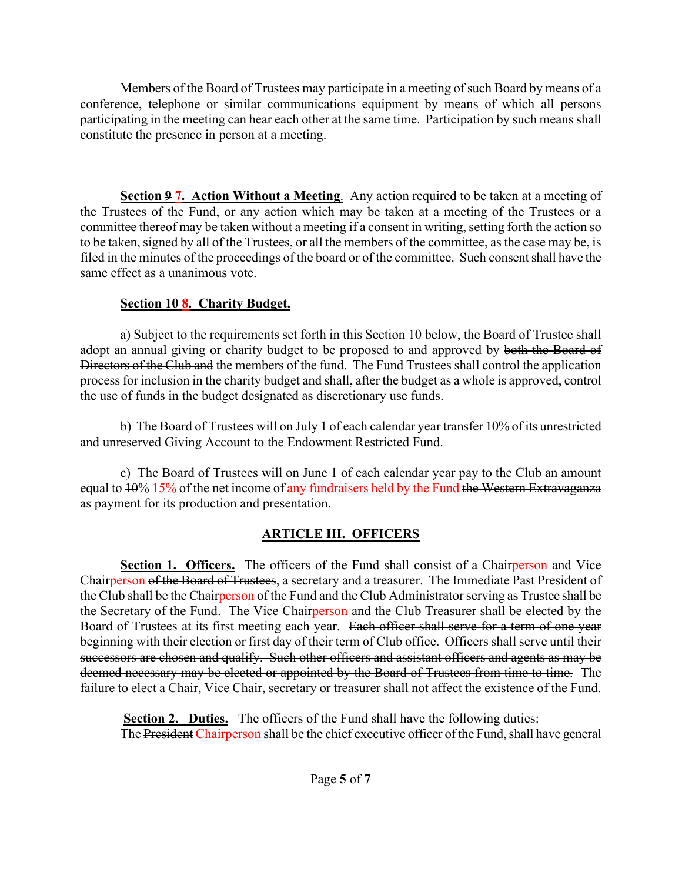Members of the Board of Trustees may participate in a meeting of such Board by means of a conference, telephone or similar communications equipment by means of which all persons participating in the meeting can hear each other at the same time. Participation by such means shall constitute the presence in person at a meeting.

**Section 9 7. Action Without a Meeting**. Any action required to be taken at a meeting of the Trustees of the Fund, or any action which may be taken at a meeting of the Trustees or a committee thereof may be taken without a meeting if a consent in writing, setting forth the action so to be taken, signed by all of the Trustees, or all the members of the committee, as the case may be, is filed in the minutes of the proceedings of the board or of the committee. Such consent shall have the same effect as a unanimous vote.

#### **Section 10 8. Charity Budget.**

a) Subject to the requirements set forth in this Section 10 below, the Board of Trustee shall adopt an annual giving or charity budget to be proposed to and approved by both the Board of Directors of the Club and the members of the fund. The Fund Trustees shall control the application process for inclusion in the charity budget and shall, after the budget as a whole is approved, control the use of funds in the budget designated as discretionary use funds.

b) The Board of Trustees will on July 1 of each calendar year transfer 10% of its unrestricted and unreserved Giving Account to the Endowment Restricted Fund.

c) The Board of Trustees will on June 1 of each calendar year pay to the Club an amount equal to  $10\%$  15% of the net income of any fundraisers held by the Fund the Western Extravaganza as payment for its production and presentation.

## **ARTICLE III. OFFICERS**

**Section 1. Officers.** The officers of the Fund shall consist of a Chairperson and Vice Chairperson of the Board of Trustees, a secretary and a treasurer. The Immediate Past President of the Club shall be the Chairperson of the Fund and the Club Administrator serving as Trustee shall be the Secretary of the Fund. The Vice Chairperson and the Club Treasurer shall be elected by the Board of Trustees at its first meeting each year. Each officer shall serve for a term of one year beginning with their election or first day of their term of Club office. Officers shall serve until their successors are chosen and qualify. Such other officers and assistant officers and agents as may be deemed necessary may be elected or appointed by the Board of Trustees from time to time. The failure to elect a Chair, Vice Chair, secretary or treasurer shall not affect the existence of the Fund.

**Section 2. Duties.** The officers of the Fund shall have the following duties: The President Chairperson shall be the chief executive officer of the Fund, shall have general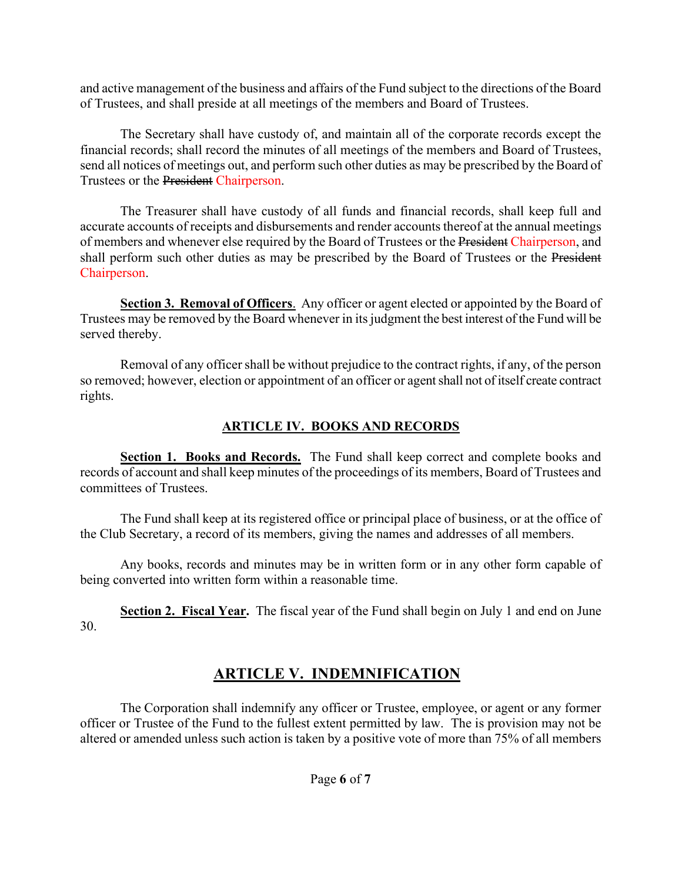and active management of the business and affairs of the Fund subject to the directions of the Board of Trustees, and shall preside at all meetings of the members and Board of Trustees.

The Secretary shall have custody of, and maintain all of the corporate records except the financial records; shall record the minutes of all meetings of the members and Board of Trustees, send all notices of meetings out, and perform such other duties as may be prescribed by the Board of Trustees or the President Chairperson.

The Treasurer shall have custody of all funds and financial records, shall keep full and accurate accounts of receipts and disbursements and render accounts thereof at the annual meetings of members and whenever else required by the Board of Trustees or the President Chairperson, and shall perform such other duties as may be prescribed by the Board of Trustees or the President Chairperson.

**Section 3. Removal of Officers**. Any officer or agent elected or appointed by the Board of Trustees may be removed by the Board whenever in its judgment the best interest of the Fund will be served thereby.

Removal of any officer shall be without prejudice to the contract rights, if any, of the person so removed; however, election or appointment of an officer or agent shall not of itself create contract rights.

#### **ARTICLE IV. BOOKS AND RECORDS**

**Section 1. Books and Records.** The Fund shall keep correct and complete books and records of account and shall keep minutes of the proceedings of its members, Board of Trustees and committees of Trustees.

The Fund shall keep at its registered office or principal place of business, or at the office of the Club Secretary, a record of its members, giving the names and addresses of all members.

Any books, records and minutes may be in written form or in any other form capable of being converted into written form within a reasonable time.

**Section 2. Fiscal Year.** The fiscal year of the Fund shall begin on July 1 and end on June 30.

# **ARTICLE V. INDEMNIFICATION**

The Corporation shall indemnify any officer or Trustee, employee, or agent or any former officer or Trustee of the Fund to the fullest extent permitted by law. The is provision may not be altered or amended unless such action is taken by a positive vote of more than 75% of all members